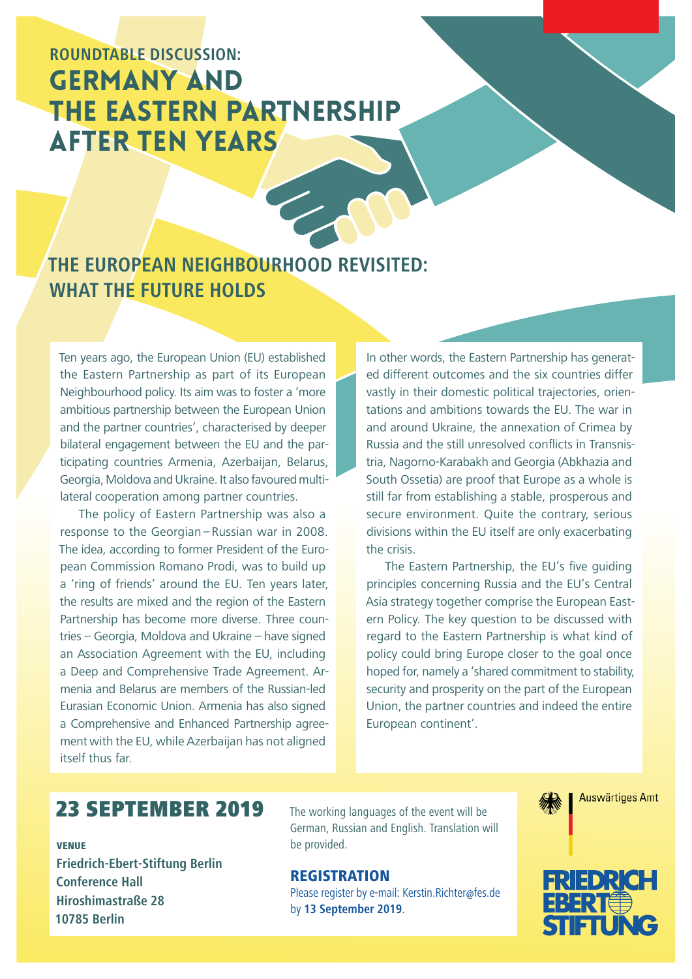# **ROUNDTABLE DISCUSSION:**  GERMANY AND THE EASTERN PARTNERSHIP AFTER TEN YEARS

## **THE EUROPEAN NEIGHBOURHOOD REVISITED: WHAT THE FUTURE HOLDS**

Ten years ago, the European Union (EU) established the Eastern Partnership as part of its European Neighbourhood policy. Its aim was to foster a 'more ambitious partnership between the European Union and the partner countries', characterised by deeper bilateral engagement between the EU and the participating countries Armenia, Azerbaijan, Belarus, Georgia, Moldova and Ukraine. It also favoured multilateral cooperation among partner countries.

The policy of Eastern Partnership was also a response to the Georgian – Russian war in 2008. The idea, according to former President of the European Commission Romano Prodi, was to build up a 'ring of friends' around the EU. Ten years later, the results are mixed and the region of the Eastern Partnership has become more diverse. Three countries – Georgia, Moldova and Ukraine – have signed an Association Agreement with the EU, including a Deep and Comprehensive Trade Agreement. Armenia and Belarus are members of the Russian-led Eurasian Economic Union. Armenia has also signed a Comprehensive and Enhanced Partnership agreement with the EU, while Azerbaijan has not aligned itself thus far.

In other words, the Eastern Partnership has generated different outcomes and the six countries differ vastly in their domestic political trajectories, orientations and ambitions towards the EU. The war in and around Ukraine, the annexation of Crimea by Russia and the still unresolved conflicts in Transnistria, Nagorno-Karabakh and Georgia (Abkhazia and South Ossetia) are proof that Europe as a whole is still far from establishing a stable, prosperous and secure environment. Quite the contrary, serious divisions within the EU itself are only exacerbating the crisis.

The Eastern Partnership, the EU's five guiding principles concerning Russia and the EU's Central Asia strategy together comprise the European Eastern Policy. The key question to be discussed with regard to the Eastern Partnership is what kind of policy could bring Europe closer to the goal once hoped for, namely a 'shared commitment to stability, security and prosperity on the part of the European Union, the partner countries and indeed the entire European continent'.

## 23 SEPTEMBER 2019

#### VENUE

**Friedrich-Ebert-Stiftung Berlin Conference Hall Hiroshimastraße 28 10785 Berlin**

The working languages of the event will be German, Russian and English. Translation will be provided.

## **REGISTRATION**

Please register by e-mail: Kerstin.Richter@fes.de by **13 September 2019**.



**Auswärtiges Amt**